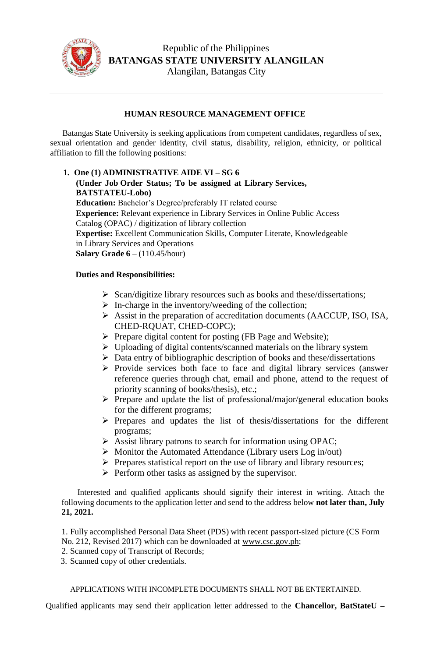

## **HUMAN RESOURCE MANAGEMENT OFFICE**

Batangas State University is seeking applications from competent candidates, regardless of sex, sexual orientation and gender identity, civil status, disability, religion, ethnicity, or political affiliation to fill the following positions:

**1. One (1) ADMINISTRATIVE AIDE VI – SG 6 (Under Job Order Status; To be assigned at Library Services, BATSTATEU-Lobo) Education:** Bachelor's Degree/preferably IT related course **Experience:** Relevant experience in Library Services in Online Public Access Catalog (OPAC) / digitization of library collection **Expertise:** Excellent Communication Skills, Computer Literate, Knowledgeable in Library Services and Operations **Salary Grade 6** – (110.45/hour)

## **Duties and Responsibilities:**

- $\triangleright$  Scan/digitize library resources such as books and these/dissertations;
- $\triangleright$  In-charge in the inventory/weeding of the collection;
- Assist in the preparation of accreditation documents (AACCUP, ISO, ISA, CHED-RQUAT, CHED-COPC);
- $\triangleright$  Prepare digital content for posting (FB Page and Website);
- Uploading of digital contents/scanned materials on the library system
- $\triangleright$  Data entry of bibliographic description of books and these/dissertations
- $\triangleright$  Provide services both face to face and digital library services (answer reference queries through chat, email and phone, attend to the request of priority scanning of books/thesis), etc.;
- $\triangleright$  Prepare and update the list of professional/major/general education books for the different programs;
- $\triangleright$  Prepares and updates the list of thesis/dissertations for the different programs;
- $\triangleright$  Assist library patrons to search for information using OPAC;
- $\triangleright$  Monitor the Automated Attendance (Library users Log in/out)
- $\triangleright$  Prepares statistical report on the use of library and library resources;
- $\triangleright$  Perform other tasks as assigned by the supervisor.

Interested and qualified applicants should signify their interest in writing. Attach the following documents to the application letter and send to the address below **not later than, July 21, 2021.**

1. Fully accomplished Personal Data Sheet (PDS) with recent passport-sized picture (CS Form No. 212, Revised 2017) which can be downloaded at [www.csc.gov.ph;](http://www.csc.gov.ph/)

- 2. Scanned copy of Transcript of Records;
- 3. Scanned copy of other credentials.

APPLICATIONS WITH INCOMPLETE DOCUMENTS SHALL NOT BE ENTERTAINED.

Qualified applicants may send their application letter addressed to the **Chancellor, BatStateU –**